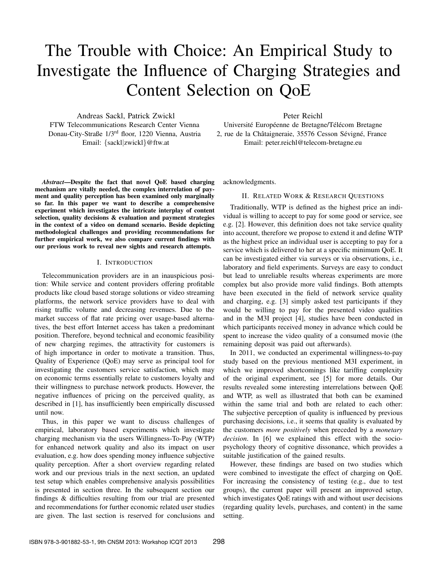# The Trouble with Choice: An Empirical Study to Investigate the Influence of Charging Strategies and Content Selection on QoE

Andreas Sackl, Patrick Zwickl FTW Telecommunications Research Center Vienna Donau-City-Straße 1/3rd floor, 1220 Vienna, Austria Email: {sackl|zwickl}@ftw.at

Peter Reichl

Université Européenne de Bretagne/Télécom Bretagne 2, rue de la Châtaigneraie, 35576 Cesson Sévigné, France Email: peter.reichl@telecom-bretagne.eu

*Abstract*—Despite the fact that novel QoE based charging mechanism are vitally needed, the complex interrelation of payment and quality perception has been examined only marginally so far. In this paper we want to describe a comprehensive experiment which investigates the intricate interplay of content selection, quality decisions & evaluation and payment strategies in the context of a video on demand scenario. Beside depicting methodological challenges and providing recommendations for further empirical work, we also compare current findings with our previous work to reveal new sights and research attempts.

## I. INTRODUCTION

Telecommunication providers are in an inauspicious position: While service and content providers offering profitable products like cloud based storage solutions or video streaming platforms, the network service providers have to deal with rising traffic volume and decreasing revenues. Due to the market success of flat rate pricing over usage-based alternatives, the best effort Internet access has taken a predominant position. Therefore, beyond technical and economic feasibility of new charging regimes, the attractivity for customers is of high importance in order to motivate a transition. Thus, Quality of Experience (QoE) may serve as principal tool for investigating the customers service satisfaction, which may on economic terms essentially relate to customers loyalty and their willingness to purchase network products. However, the negative influences of pricing on the perceived quality, as described in [1], has insufficiently been empirically discussed until now.

Thus, in this paper we want to discuss challenges of empirical, laboratory based experiments which investigate charging mechanism via the users Willingness-To-Pay (WTP) for enhanced network quality and also its impact on user evaluation, e.g. how does spending money influence subjective quality perception. After a short overview regarding related work and our previous trials in the next section, an updated test setup which enables comprehensive analysis possibilities is presented in section three. In the subsequent section our findings & difficulties resulting from our trial are presented and recommendations for further economic related user studies are given. The last section is reserved for conclusions and

acknowledgments.

# II. RELATED WORK & RESEARCH QUESTIONS

Traditionally, WTP is defined as the highest price an individual is willing to accept to pay for some good or service, see e.g. [2]. However, this definition does not take service quality into account, therefore we propose to extend it and define WTP as the highest price an individual user is accepting to pay for a service which is delivered to her at a specific minimum QoE. It can be investigated either via surveys or via observations, i.e., laboratory and field experiments. Surveys are easy to conduct but lead to unreliable results whereas experiments are more complex but also provide more valid findings. Both attempts have been executed in the field of network service quality and charging, e.g. [3] simply asked test participants if they would be willing to pay for the presented video qualities and in the M3I project [4], studies have been conducted in which participants received money in advance which could be spent to increase the video quality of a consumed movie (the remaining deposit was paid out afterwards).

In 2011, we conducted an experimental willingness-to-pay study based on the previous mentioned M3I experiment, in which we improved shortcomings like tariffing complexity of the original experiment, see [5] for more details. Our results revealed some interesting interrelations between QoE and WTP, as well as illustrated that both can be examined within the same trial and both are related to each other: The subjective perception of quality is influenced by previous purchasing decisions, i.e., it seems that quality is evaluated by the customers *more positively* when preceded by a *monetary decision*. In [6] we explained this effect with the sociopsychology theory of cognitive dissonance, which provides a suitable justification of the gained results.

However, these findings are based on two studies which were combined to investigate the effect of charging on QoE. For increasing the consistency of testing (e.g., due to test groups), the current paper will present an improved setup, which investigates QoE ratings with and without user decisions (regarding quality levels, purchases, and content) in the same setting.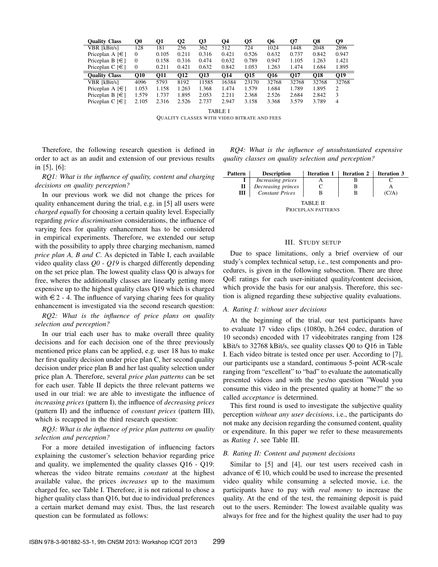| <b>Ouality Class</b>            | O0       | 01         | О2         | O3         | О4    | О5         | O6              | О7         | O8         | Q9    |
|---------------------------------|----------|------------|------------|------------|-------|------------|-----------------|------------|------------|-------|
| VBR [kBit/s]                    | 128      | 181        | 256        | 362        | 512   | 724        | 1024            | 1448       | 2048       | 2896  |
| Priceplan A $\lceil \in \rceil$ | $\Omega$ | 0.105      | 0.211      | 0.316      | 0.421 | 0.526      | 0.632           | 0.737      | 0.842      | 0.947 |
| Priceplan B $\lceil \in \rceil$ | $\Omega$ | 0.158      | 0.316      | 0.474      | 0.632 | 0.789      | 0.947           | 1.105      | 1.263      | 1.421 |
| Priceplan $C \in \{ \in \}$     | $\theta$ | 0.211      | 0.421      | 0.632      | 0.842 | 1.053      | 1.263           | 1.474      | 1.684      | 1.895 |
|                                 |          |            |            |            |       |            |                 |            |            |       |
| <b>Ouality Class</b>            | O10      | <b>O11</b> | <b>O12</b> | <b>O13</b> | O14   | <b>O15</b> | O <sub>16</sub> | <b>O17</b> | <b>O18</b> | O19   |
| VBR [kBit/s]                    | 4096     | 5793       | 8192       | 11585      | 16384 | 23170      | 32768           | 32768      | 32768      | 32768 |
| Priceplan A $\lceil \in \rceil$ | 1.053    | 1.158      | 1.263      | 1.368      | 1.474 | 1.579      | 1.684           | 1.789      | 1.895      | 2     |
| Priceplan B $\lceil \in \rceil$ | 1.579    | 1.737      | 1.895      | 2.053      | 2.211 | 2.368      | 2.526           | 2.684      | 2.842      | 3     |

TABLE I QUALITY CLASSES WITH VIDEO BITRATE AND FEES

Therefore, the following research question is defined in order to act as an audit and extension of our previous results in [5], [6]:

*RQ1: What is the influence of quality, content and charging decisions on quality perception?*

In our previous work we did not change the prices for quality enhancement during the trial, e.g. in [5] all users were *charged equally* for choosing a certain quality level. Especially regarding *price discrimination* considerations, the influence of varying fees for quality enhancement has to be considered in empirical experiments. Therefore, we extended our setup with the possibility to apply three charging mechanism, named *price plan A, B and C*. As depicted in Table I, each available video quality class *Q0 - Q19* is charged differently depending on the set price plan. The lowest quality class Q0 is always for free, wheres the additionally classes are linearly getting more expensive up to the highest quality class Q19 which is charged with  $\epsilon$  2 - 4. The influence of varying charing fees for quality enhancement is investigated via the second research question:

*RQ2: What is the influence of price plans on quality selection and perception?*

In our trial each user has to make overall three quality decisions and for each decision one of the three previously mentioned price plans can be applied, e.g. user 18 has to make her first quality decision under price plan C, her second quality decision under price plan B and her last quality selection under price plan A. Therefore, several *price plan patterns* can be set for each user. Table II depicts the three relevant patterns we used in our trial: we are able to investigate the influence of *increasing prices* (pattern I), the influence of *decreasing prices* (pattern II) and the influence of *constant prices* (pattern III), which is recapped in the third research question:

*RQ3: What is the influence of price plan patterns on quality selection and perception?*

For a more detailed investigation of influencing factors explaining the customer's selection behavior regarding price and quality, we implemented the quality classes Q16 - Q19: whereas the video bitrate remains *constant* at the highest available value, the prices *increases* up to the maximum charged fee, see Table I. Therefore, it is not rational to chose a higher quality class than Q16, but due to individual preferences a certain market demand may exist. Thus, the last research question can be formulated as follows:

*RQ4: What is the influence of unsubstantiated expensive quality classes on quality selection and perception?*

| <b>Pattern</b>     | <b>Description</b>       | <b>Iteration 1</b> | <b>Iteration 2</b> | <b>Iteration 3</b> |  |  |  |
|--------------------|--------------------------|--------------------|--------------------|--------------------|--|--|--|
|                    | <i>Increasing prices</i> |                    |                    |                    |  |  |  |
| П                  | Decreasing princes       |                    |                    |                    |  |  |  |
| Ш                  | <b>Constant Prices</b>   | в                  | В                  | (C/A)              |  |  |  |
| TABLE II           |                          |                    |                    |                    |  |  |  |
| PRICEPLAN PATTERNS |                          |                    |                    |                    |  |  |  |

# III. STUDY SETUP

Due to space limitations, only a brief overview of our study's complex technical setup, i.e., test components and procedures, is given in the following subsection. There are three QoE ratings for each user-initiated quality/content decision, which provide the basis for our analysis. Therefore, this section is aligned regarding these subjective quality evaluations.

### *A. Rating I: without user decisions*

At the beginning of the trial, our test participants have to evaluate 17 video clips (1080p, h.264 codec, duration of 10 seconds) encoded with 17 videobitrates ranging from 128 kBit/s to 32768 kBit/s, see quality classes Q0 to Q16 in Table I. Each video bitrate is tested once per user. According to [7], our participants use a standard, continuous 5-point ACR-scale ranging from "excellent" to "bad" to evaluate the automatically presented videos and with the yes/no question "Would you consume this video in the presented quality at home?" the so called *acceptance* is determined.

This first round is used to investigate the subjective quality perception *without any user decisions*, i.e., the participants do not make any decision regarding the consumed content, quality or expenditure. In this paper we refer to these measurements as *Rating 1*, see Table III.

## *B. Rating II: Content and payment decisions*

Similar to [5] and [4], our test users received cash in advance of  $\in$  10, which could be used to increase the presented video quality while consuming a selected movie, i.e. the participants have to pay with *real money* to increase the quality. At the end of the test, the remaining deposit is paid out to the users. Reminder: The lowest available quality was always for free and for the highest quality the user had to pay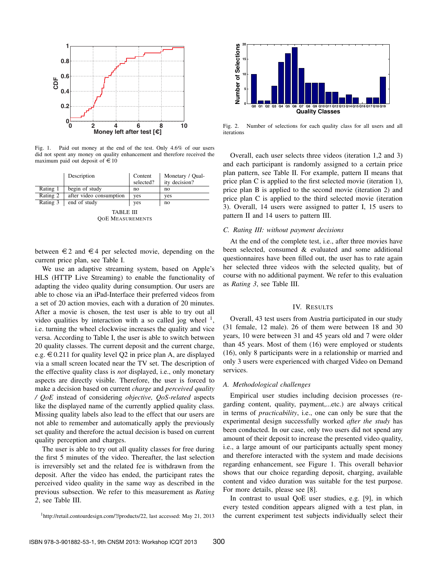

Fig. 1. Paid out money at the end of the test. Only 4.6% of our users did not spent any money on quality enhancement and therefore received the maximum paid out deposit of  $\in$  10

|            | Description             | Content<br>selected? | Monetary / Qual-<br>ity decision? |  |  |
|------------|-------------------------|----------------------|-----------------------------------|--|--|
| Rating 1   | begin of study          | no                   | no                                |  |  |
| Rating 2   | after video consumption | yes                  | yes                               |  |  |
| Rating 3   | end of study            | yes                  | no                                |  |  |
| TARI E III |                         |                      |                                   |  |  |

QOE MEASUREMENTS

between  $\epsilon$ 2 and  $\epsilon$ 4 per selected movie, depending on the current price plan, see Table I.

We use an adaptive streaming system, based on Apple's HLS (HTTP Live Streaming) to enable the functionality of adapting the video quality during consumption. Our users are able to chose via an iPad-Interface their preferred videos from a set of 20 action movies, each with a duration of 20 minutes. After a movie is chosen, the test user is able to try out all video qualities by interaction with a so called jog wheel  $<sup>1</sup>$ ,</sup> i.e. turning the wheel clockwise increases the quality and vice versa. According to Table I, the user is able to switch between 20 quality classes. The current deposit and the current charge, e.g.  $\in 0.211$  for quality level Q2 in price plan A, are displayed via a small screen located near the TV set. The description of the effective quality class is *not* displayed, i.e., only monetary aspects are directly visible. Therefore, the user is forced to make a decision based on current *charge* and *perceived quality / QoE* instead of considering *objective, QoS-related* aspects like the displayed name of the currently applied quality class. Missing quality labels also lead to the effect that our users are not able to remember and automatically apply the previously set quality and therefore the actual decision is based on current quality perception and charges.

The user is able to try out all quality classes for free during the first 5 minutes of the video. Thereafter, the last selection is irreversibly set and the related fee is withdrawn from the deposit. After the video has ended, the participant rates the perceived video quality in the same way as described in the previous subsection. We refer to this measurement as *Rating 2*, see Table III.



Fig. 2. Number of selections for each quality class for all users and all iterations

Overall, each user selects three videos (iteration 1,2 and 3) and each participant is randomly assigned to a certain price plan pattern, see Table II. For example, pattern II means that price plan C is applied to the first selected movie (iteration 1), price plan B is applied to the second movie (iteration 2) and price plan C is applied to the third selected movie (iteration 3). Overall, 14 users were assigned to patter I, 15 users to pattern II and 14 users to pattern III.

### *C. Rating III: without payment decisions*

At the end of the complete test, i.e., after three movies have been selected, consumed & evaluated and some additional questionnaires have been filled out, the user has to rate again her selected three videos with the selected quality, but of course with no additional payment. We refer to this evaluation as *Rating 3*, see Table III.

## IV. RESULTS

Overall, 43 test users from Austria participated in our study (31 female, 12 male). 26 of them were between 18 and 30 years, 10 were between 31 and 45 years old and 7 were older than 45 years. Most of them (16) were employed or students (16), only 8 participants were in a relationship or married and only 3 users were experienced with charged Video on Demand services.

#### *A. Methodological challenges*

Empirical user studies including decision processes (regarding content, quality, payment,...etc.) are always critical in terms of *practicability*, i.e., one can only be sure that the experimental design successfully worked *after the study* has been conducted. In our case, only two users did not spend any amount of their deposit to increase the presented video quality, i.e., a large amount of our participants actually spent money and therefore interacted with the system and made decisions regarding enhancement, see Figure 1. This overall behavior shows that our choice regarding deposit, charging, available content and video duration was suitable for the test purpose. For more details, please see [8].

In contrast to usual QoE user studies, e.g. [9], in which every tested condition appears aligned with a test plan, in the current experiment test subjects individually select their

<sup>1</sup>http://retail.contourdesign.com/?/products/22, last accessed: May 21, 2013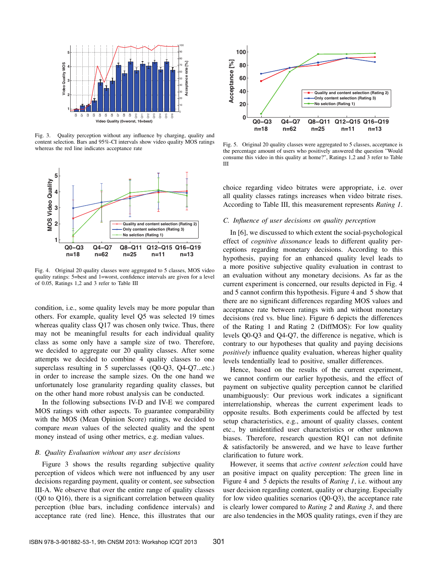

Fig. 3. Quality perception without any influence by charging, quality and content selection. Bars and 95%-CI intervals show video quality MOS ratings whereas the red line indicates acceptance rate



Fig. 4. Original 20 quality classes were aggregated to 5 classes, MOS video quality ratings: 5=best and 1=worst, confidence intervals are given for a level of 0.05, Ratings 1,2 and 3 refer to Table III

condition, i.e., some quality levels may be more popular than others. For example, quality level Q5 was selected 19 times whereas quality class Q17 was chosen only twice. Thus, there may not be meaningful results for each individual quality class as some only have a sample size of two. Therefore, we decided to aggregate our 20 quality classes. After some attempts we decided to combine 4 quality classes to one superclass resulting in 5 superclasses (Q0-Q3, Q4-Q7...etc.) in order to increase the sample sizes. On the one hand we unfortunately lose granularity regarding quality classes, but on the other hand more robust analysis can be conducted.

In the following subsections IV-D and IV-E we compared MOS ratings with other aspects. To guarantee comparability with the MOS (Mean Opinion Score) ratings, we decided to compare *mean* values of the selected quality and the spent money instead of using other metrics, e.g. median values.

### *B. Quality Evaluation without any user decisions*

Figure 3 shows the results regarding subjective quality perception of videos which were not influenced by any user decisions regarding payment, quality or content, see subsection III-A. We observe that over the entire range of quality classes (Q0 to Q16), there is a significant correlation between quality perception (blue bars, including confidence intervals) and acceptance rate (red line). Hence, this illustrates that our



Fig. 5. Original 20 quality classes were aggregated to 5 classes, acceptance is the percentage amount of users who positively answered the question "Would consume this video in this quality at home?", Ratings 1,2 and 3 refer to Table III

choice regarding video bitrates were appropriate, i.e. over all quality classes ratings increases when video bitrate rises. According to Table III, this measurement represents *Rating 1*.

### *C. Influence of user decisions on quality perception*

In [6], we discussed to which extent the social-psychological effect of *cognitive dissonance* leads to different quality perceptions regarding monetary decisions. According to this hypothesis, paying for an enhanced quality level leads to a more positive subjective quality evaluation in contrast to an evaluation without any monetary decisions. As far as the current experiment is concerned, our results depicted in Fig. 4 and 5 cannot confirm this hypothesis. Figure 4 and 5 show that there are no significant differences regarding MOS values and acceptance rate between ratings with and without monetary decisions (red vs. blue line). Figure 6 depicts the differences of the Rating 1 and Rating 2 (DiffMOS): For low quality levels Q0-Q3 and Q4-Q7, the difference is negative, which is contrary to our hypotheses that quality and paying decisions *positively* influence quality evaluation, whereas higher quality levels tendentially lead to positive, smaller differences.

Hence, based on the results of the current experiment, we cannot confirm our earlier hypothesis, and the effect of payment on subjective quality perception cannot be clarified unambiguously: Our previous work indicates a significant interrelationship, whereas the current experiment leads to opposite results. Both experiments could be affected by test setup characteristics, e.g., amount of quality classes, content etc., by unidentified user characteristics or other unknown biases. Therefore, research question RQ1 can not definite & satisfactorily be answered, and we have to leave further clarification to future work.

However, it seems that *active content selection* could have an positive impact on quality perception: The green line in Figure 4 and 5 depicts the results of *Rating 1*, i.e. without any user decision regarding content, quality or charging. Especially for low video qualities scenarios (Q0-Q3), the acceptance rate is clearly lower compared to *Rating 2* and *Rating 3*, and there are also tendencies in the MOS quality ratings, even if they are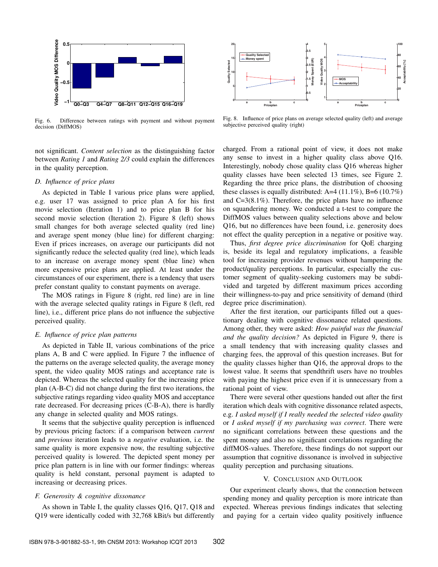

Fig. 6. Difference between ratings with payment and without payment decision (DiffMOS)

not significant. *Content selection* as the distinguishing factor between *Rating 1* and *Rating 2/3* could explain the differences in the quality perception.

# *D. Influence of price plans*

As depicted in Table I various price plans were applied, e.g. user 17 was assigned to price plan A for his first movie selection (Iteration 1) and to price plan B for his second movie selection (Iteration 2). Figure 8 (left) shows small changes for both average selected quality (red line) and average spent money (blue line) for different charging: Even if prices increases, on average our participants did not significantly reduce the selected quality (red line), which leads to an increase on average money spent (blue line) when more expensive price plans are applied. At least under the circumstances of our experiment, there is a tendency that users prefer constant quality to constant payments on average.

The MOS ratings in Figure 8 (right, red line) are in line with the average selected quality ratings in Figure 8 (left, red line), i.e., different price plans do not influence the subjective perceived quality.

## *E. Influence of price plan patterns*

As depicted in Table II, various combinations of the price plans A, B and C were applied. In Figure 7 the influence of the patterns on the average selected quality, the average money spent, the video quality MOS ratings and acceptance rate is depicted. Whereas the selected quality for the increasing price plan (A-B-C) did not change during the first two iterations, the subjective ratings regarding video quality MOS and acceptance rate decreased. For decreasing prices (C-B-A), there is hardly any change in selected quality and MOS ratings.

It seems that the subjective quality perception is influenced by previous pricing factors: if a comparison between *current* and *previous* iteration leads to a *negative* evaluation, i.e. the same quality is more expensive now, the resulting subjective perceived quality is lowered. The depicted spent money per price plan pattern is in line with our former findings: whereas quality is held constant, personal payment is adapted to increasing or decreasing prices.

#### *F. Generosity & cognitive dissonance*

As shown in Table I, the quality classes Q16, Q17, Q18 and Q19 were identically coded with 32,768 kBit/s but differently



Fig. 8. Influence of price plans on average selected quality (left) and average subjective perceived quality (right)

charged. From a rational point of view, it does not make any sense to invest in a higher quality class above Q16. Interestingly, nobody chose quality class Q16 whereas higher quality classes have been selected 13 times, see Figure 2. Regarding the three price plans, the distribution of choosing these classes is equally distributed: A=4  $(11.1\%)$ , B=6  $(10.7\%)$ and C=3(8.1%). Therefore, the price plans have no influence on squandering money. We conducted a t-test to compare the DiffMOS values between quality selections above and below Q16, but no differences have been found, i.e. generosity does not effect the quality perception in a negative or positive way.

Thus, *first degree price discrimination* for QoE charging is, beside its legal and regulatory implications, a feasible tool for increasing provider revenues without hampering the product/quality perceptions. In particular, especially the customer segment of quality-seeking customers may be subdivided and targeted by different maximum prices according their willingness-to-pay and price sensitivity of demand (third degree price discrimination).

After the first iteration, our participants filled out a questionary dealing with cognitive dissonance related questions. Among other, they were asked: *How painful was the financial and the quality decision?* As depicted in Figure 9, there is a small tendency that with increasing quality classes and charging fees, the approval of this question increases. But for the quality classes higher than Q16, the approval drops to the lowest value. It seems that spendthrift users have no troubles with paying the highest price even if it is unnecessary from a rational point of view.

There were several other questions handed out after the first iteration which deals with cognitive dissonance related aspects, e.g. *I asked myself if I really needed the selected video quality* or *I asked myself if my purchasing was correct*. There were no significant correlations between these questions and the spent money and also no significant correlations regarding the diffMOS-values. Therefore, these findings do not support our assumption that cognitive dissonance is involved in subjective quality perception and purchasing situations.

## V. CONCLUSION AND OUTLOOK

Our experiment clearly shows, that the connection between spending money and quality perception is more intricate than expected. Whereas previous findings indicates that selecting and paying for a certain video quality positively influence